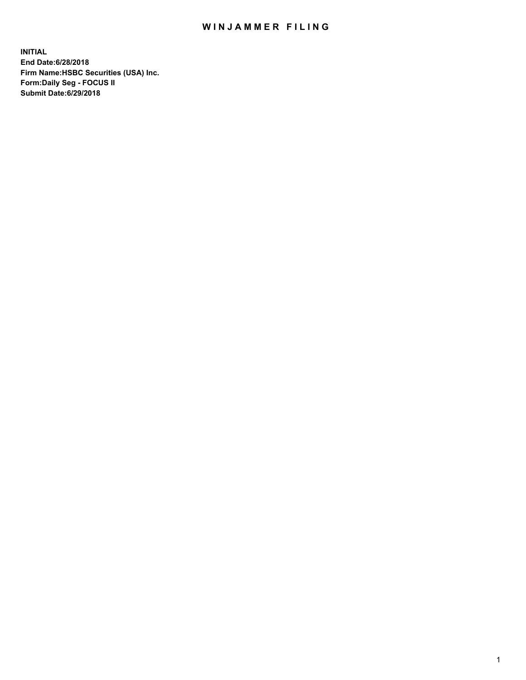## WIN JAMMER FILING

**INITIAL End Date:6/28/2018 Firm Name:HSBC Securities (USA) Inc. Form:Daily Seg - FOCUS II Submit Date:6/29/2018**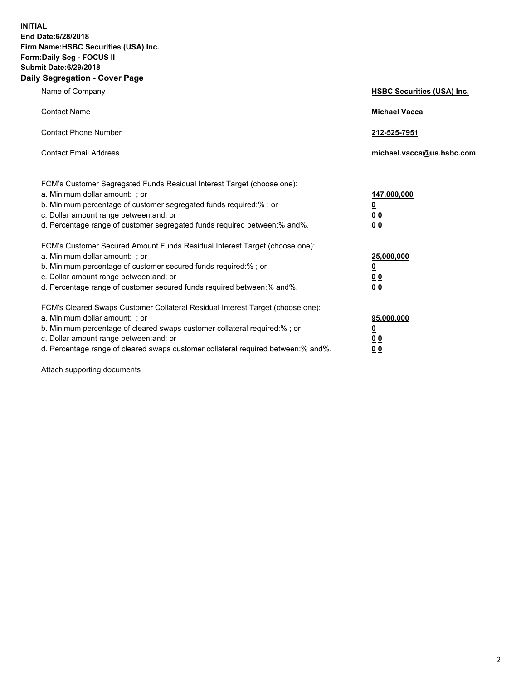**INITIAL End Date:6/28/2018 Firm Name:HSBC Securities (USA) Inc. Form:Daily Seg - FOCUS II Submit Date:6/29/2018 Daily Segregation - Cover Page**

| Name of Company                                                                                                                                                                                                                                                                                                                | <b>HSBC Securities (USA) Inc.</b>                                          |
|--------------------------------------------------------------------------------------------------------------------------------------------------------------------------------------------------------------------------------------------------------------------------------------------------------------------------------|----------------------------------------------------------------------------|
| <b>Contact Name</b>                                                                                                                                                                                                                                                                                                            | <b>Michael Vacca</b>                                                       |
| <b>Contact Phone Number</b>                                                                                                                                                                                                                                                                                                    | 212-525-7951                                                               |
| <b>Contact Email Address</b>                                                                                                                                                                                                                                                                                                   | michael.vacca@us.hsbc.com                                                  |
| FCM's Customer Segregated Funds Residual Interest Target (choose one):<br>a. Minimum dollar amount: : or<br>b. Minimum percentage of customer segregated funds required:% ; or<br>c. Dollar amount range between: and; or<br>d. Percentage range of customer segregated funds required between:% and%.                         | 147,000,000<br>$\overline{\mathbf{0}}$<br>0 <sub>0</sub><br>0 <sub>0</sub> |
| FCM's Customer Secured Amount Funds Residual Interest Target (choose one):<br>a. Minimum dollar amount: ; or<br>b. Minimum percentage of customer secured funds required:%; or<br>c. Dollar amount range between: and; or<br>d. Percentage range of customer secured funds required between:% and%.                            | 25,000,000<br><u>0</u><br>0 <sub>0</sub><br>00                             |
| FCM's Cleared Swaps Customer Collateral Residual Interest Target (choose one):<br>a. Minimum dollar amount: ; or<br>b. Minimum percentage of cleared swaps customer collateral required:% ; or<br>c. Dollar amount range between: and; or<br>d. Percentage range of cleared swaps customer collateral required between:% and%. | 95,000,000<br><u>0</u><br>00<br>0 <sub>0</sub>                             |

Attach supporting documents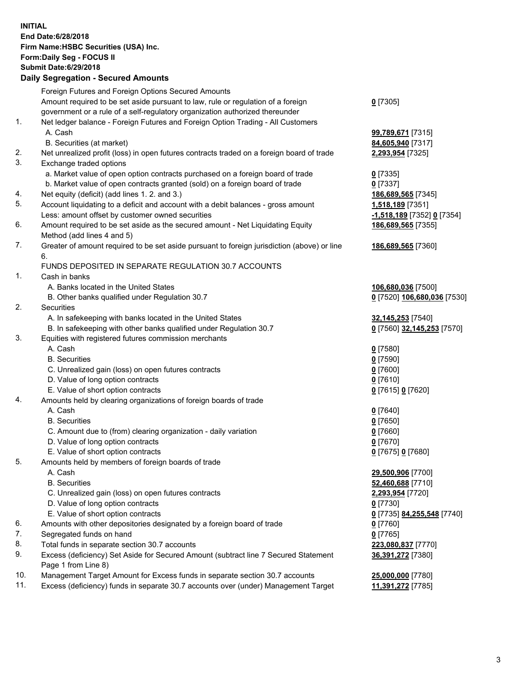**INITIAL End Date:6/28/2018 Firm Name:HSBC Securities (USA) Inc. Form:Daily Seg - FOCUS II Submit Date:6/29/2018 Daily Segregation - Secured Amounts** Foreign Futures and Foreign Options Secured Amounts Amount required to be set aside pursuant to law, rule or regulation of a foreign government or a rule of a self-regulatory organization authorized thereunder **0** [7305] 1. Net ledger balance - Foreign Futures and Foreign Option Trading - All Customers A. Cash **99,789,671** [7315] B. Securities (at market) **84,605,940** [7317] 2. Net unrealized profit (loss) in open futures contracts traded on a foreign board of trade **2,293,954** [7325] 3. Exchange traded options a. Market value of open option contracts purchased on a foreign board of trade **0** [7335] b. Market value of open contracts granted (sold) on a foreign board of trade **0** [7337] 4. Net equity (deficit) (add lines 1. 2. and 3.) **186,689,565** [7345] 5. Account liquidating to a deficit and account with a debit balances - gross amount **1,518,189** [7351] Less: amount offset by customer owned securities **-1,518,189** [7352] **0** [7354] 6. Amount required to be set aside as the secured amount - Net Liquidating Equity Method (add lines 4 and 5) **186,689,565** [7355] 7. Greater of amount required to be set aside pursuant to foreign jurisdiction (above) or line 6. **186,689,565** [7360] FUNDS DEPOSITED IN SEPARATE REGULATION 30.7 ACCOUNTS 1. Cash in banks A. Banks located in the United States **106,680,036** [7500] B. Other banks qualified under Regulation 30.7 **0** [7520] **106,680,036** [7530] 2. Securities A. In safekeeping with banks located in the United States **32,145,253** [7540] B. In safekeeping with other banks qualified under Regulation 30.7 **0** [7560] **32,145,253** [7570] 3. Equities with registered futures commission merchants A. Cash **0** [7580] B. Securities **0** [7590] C. Unrealized gain (loss) on open futures contracts **0** [7600] D. Value of long option contracts **0** [7610] E. Value of short option contracts **0** [7615] **0** [7620] 4. Amounts held by clearing organizations of foreign boards of trade A. Cash **0** [7640] B. Securities **0** [7650] C. Amount due to (from) clearing organization - daily variation **0** [7660] D. Value of long option contracts **0** [7670] E. Value of short option contracts **0** [7675] **0** [7680] 5. Amounts held by members of foreign boards of trade A. Cash **29,500,906** [7700] B. Securities **52,460,688** [7710] C. Unrealized gain (loss) on open futures contracts **2,293,954** [7720] D. Value of long option contracts **0** [7730] E. Value of short option contracts **0** [7735] **84,255,548** [7740] 6. Amounts with other depositories designated by a foreign board of trade **0** [7760] 7. Segregated funds on hand **0** [7765] 8. Total funds in separate section 30.7 accounts **223,080,837** [7770] **36,391,272** [7380]

- 9. Excess (deficiency) Set Aside for Secured Amount (subtract line 7 Secured Statement Page 1 from Line 8)
- 10. Management Target Amount for Excess funds in separate section 30.7 accounts **25,000,000** [7780]
- 11. Excess (deficiency) funds in separate 30.7 accounts over (under) Management Target **11,391,272** [7785]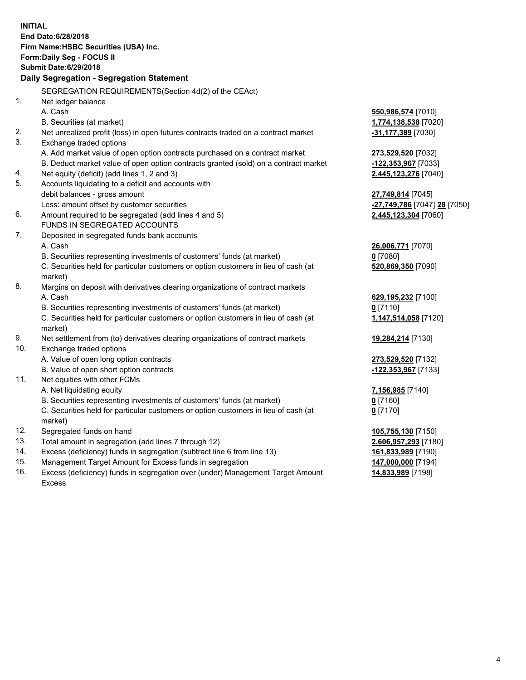|     | <b>INITIAL</b><br>End Date: 6/28/2018<br>Firm Name: HSBC Securities (USA) Inc.<br>Form: Daily Seg - FOCUS II<br><b>Submit Date:6/29/2018</b><br>Daily Segregation - Segregation Statement |                                           |
|-----|-------------------------------------------------------------------------------------------------------------------------------------------------------------------------------------------|-------------------------------------------|
|     |                                                                                                                                                                                           |                                           |
|     | SEGREGATION REQUIREMENTS (Section 4d(2) of the CEAct)                                                                                                                                     |                                           |
| 1.  | Net ledger balance                                                                                                                                                                        |                                           |
|     | A. Cash                                                                                                                                                                                   | 550,986,574 [7010]                        |
|     | B. Securities (at market)                                                                                                                                                                 | 1,774,138,538 [7020]                      |
| 2.  | Net unrealized profit (loss) in open futures contracts traded on a contract market                                                                                                        | -31,177,389 [7030]                        |
| 3.  | Exchange traded options                                                                                                                                                                   |                                           |
|     | A. Add market value of open option contracts purchased on a contract market                                                                                                               | 273,529,520 [7032]                        |
|     | B. Deduct market value of open option contracts granted (sold) on a contract market                                                                                                       | <u>-122,353,967</u> [7033]                |
| 4.  | Net equity (deficit) (add lines 1, 2 and 3)                                                                                                                                               | 2,445,123,276 [7040]                      |
| 5.  | Accounts liquidating to a deficit and accounts with                                                                                                                                       |                                           |
|     | debit balances - gross amount                                                                                                                                                             | 27,749,814 [7045]                         |
|     | Less: amount offset by customer securities                                                                                                                                                | <mark>-27,749,786</mark> [7047] 28 [7050] |
| 6.  | Amount required to be segregated (add lines 4 and 5)                                                                                                                                      | 2,445,123,304 [7060]                      |
|     | FUNDS IN SEGREGATED ACCOUNTS                                                                                                                                                              |                                           |
| 7.  | Deposited in segregated funds bank accounts                                                                                                                                               |                                           |
|     | A. Cash                                                                                                                                                                                   | 26,006,771 [7070]                         |
|     | B. Securities representing investments of customers' funds (at market)                                                                                                                    | $0$ [7080]                                |
|     | C. Securities held for particular customers or option customers in lieu of cash (at<br>market)                                                                                            | 520,869,350 [7090]                        |
| 8.  | Margins on deposit with derivatives clearing organizations of contract markets                                                                                                            |                                           |
|     | A. Cash                                                                                                                                                                                   | 629,195,232 [7100]                        |
|     | B. Securities representing investments of customers' funds (at market)                                                                                                                    | $0$ [7110]                                |
|     | C. Securities held for particular customers or option customers in lieu of cash (at                                                                                                       | 1,147,514,058 [7120]                      |
|     | market)                                                                                                                                                                                   |                                           |
| 9.  | Net settlement from (to) derivatives clearing organizations of contract markets                                                                                                           | 19,284,214 [7130]                         |
| 10. | Exchange traded options                                                                                                                                                                   |                                           |
|     | A. Value of open long option contracts                                                                                                                                                    | 273,529,520 [7132]                        |
|     | B. Value of open short option contracts                                                                                                                                                   | -122,353,967 [7133]                       |
| 11. | Net equities with other FCMs                                                                                                                                                              |                                           |
|     | A. Net liquidating equity                                                                                                                                                                 | <u>7,156,985</u> [7140]                   |
|     | B. Securities representing investments of customers' funds (at market)                                                                                                                    | 0 <sup>[7160]</sup>                       |
|     | C. Securities held for particular customers or option customers in lieu of cash (at                                                                                                       | $0$ [7170]                                |
|     | market)                                                                                                                                                                                   |                                           |
| 12. | Segregated funds on hand                                                                                                                                                                  | 105,755,130 [7150]                        |
| 13. | Total amount in segregation (add lines 7 through 12)                                                                                                                                      | 2,606,957,293 [7180]                      |
| 14. | Excess (deficiency) funds in segregation (subtract line 6 from line 13)                                                                                                                   | 161,833,989 [7190]                        |
| 15. | Management Target Amount for Excess funds in segregation                                                                                                                                  | 147,000,000 [7194]                        |

16. Excess (deficiency) funds in segregation over (under) Management Target Amount Excess

**14,833,989** [7198]